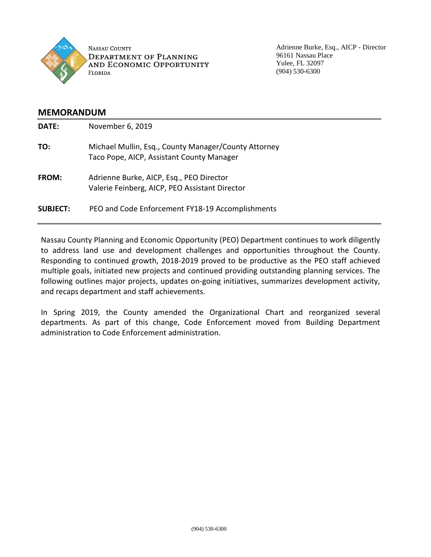

Adrienne Burke, Esq., AICP - Director 96161 Nassau Place Yulee, FL 32097 (904) 530-6300

# **MEMORANDUM**

| DATE:           | November 6, 2019                                                                                  |
|-----------------|---------------------------------------------------------------------------------------------------|
| TO:             | Michael Mullin, Esq., County Manager/County Attorney<br>Taco Pope, AICP, Assistant County Manager |
| <b>FROM:</b>    | Adrienne Burke, AICP, Esq., PEO Director<br>Valerie Feinberg, AICP, PEO Assistant Director        |
| <b>SUBJECT:</b> | PEO and Code Enforcement FY18-19 Accomplishments                                                  |

Nassau County Planning and Economic Opportunity (PEO) Department continues to work diligently to address land use and development challenges and opportunities throughout the County. Responding to continued growth, 2018-2019 proved to be productive as the PEO staff achieved multiple goals, initiated new projects and continued providing outstanding planning services. The following outlines major projects, updates on-going initiatives, summarizes development activity, and recaps department and staff achievements.

In Spring 2019, the County amended the Organizational Chart and reorganized several departments. As part of this change, Code Enforcement moved from Building Department administration to Code Enforcement administration.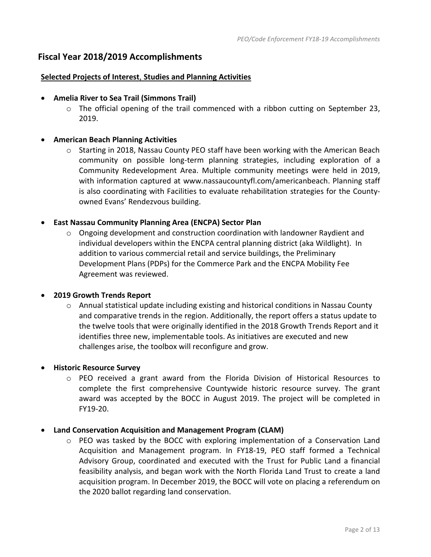# **Fiscal Year 2018/2019 Accomplishments**

## **Selected Projects of Interest**, **Studies and Planning Activities**

- **Amelia River to Sea Trail (Simmons Trail)**
	- $\circ$  The official opening of the trail commenced with a ribbon cutting on September 23, 2019.

## • **American Beach Planning Activities**

o Starting in 2018, Nassau County PEO staff have been working with the American Beach community on possible long-term planning strategies, including exploration of a Community Redevelopment Area. Multiple community meetings were held in 2019, with information captured at [www.nassaucountyfl.com/americanbeach.](http://www.nassaucountyfl.com/americanbeach) Planning staff is also coordinating with Facilities to evaluate rehabilitation strategies for the Countyowned Evans' Rendezvous building.

# • **East Nassau Community Planning Area (ENCPA) Sector Plan**

 $\circ$  Ongoing development and construction coordination with landowner Raydient and individual developers within the ENCPA central planning district (aka Wildlight). In addition to various commercial retail and service buildings, the Preliminary Development Plans (PDPs) for the Commerce Park and the ENCPA Mobility Fee Agreement was reviewed.

## • **2019 Growth Trends Report**

o Annual statistical update including existing and historical conditions in Nassau County and comparative trends in the region. Additionally, the report offers a status update to the twelve tools that were originally identified in the 2018 Growth Trends Report and it identifies three new, implementable tools. As initiatives are executed and new challenges arise, the toolbox will reconfigure and grow.

## • **Historic Resource Survey**

o PEO received a grant award from the Florida Division of Historical Resources to complete the first comprehensive Countywide historic resource survey. The grant award was accepted by the BOCC in August 2019. The project will be completed in FY19-20.

## • **Land Conservation Acquisition and Management Program (CLAM)**

 $\circ$  PEO was tasked by the BOCC with exploring implementation of a Conservation Land Acquisition and Management program. In FY18-19, PEO staff formed a Technical Advisory Group, coordinated and executed with the Trust for Public Land a financial feasibility analysis, and began work with the North Florida Land Trust to create a land acquisition program. In December 2019, the BOCC will vote on placing a referendum on the 2020 ballot regarding land conservation.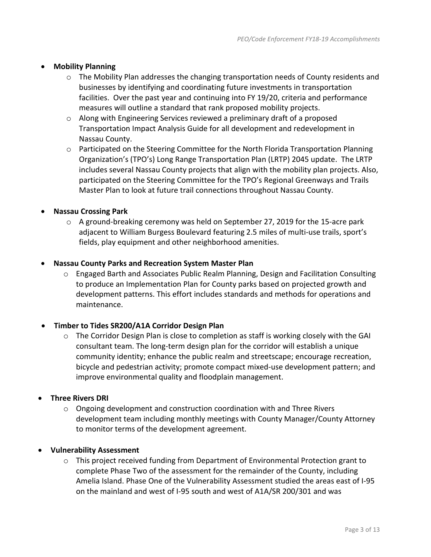# • **Mobility Planning**

- o The Mobility Plan addresses the changing transportation needs of County residents and businesses by identifying and coordinating future investments in transportation facilities. Over the past year and continuing into FY 19/20, criteria and performance measures will outline a standard that rank proposed mobility projects.
- $\circ$  Along with Engineering Services reviewed a preliminary draft of a proposed Transportation Impact Analysis Guide for all development and redevelopment in Nassau County.
- o Participated on the Steering Committee for the North Florida Transportation Planning Organization's (TPO's) Long Range Transportation Plan (LRTP) 2045 update. The LRTP includes several Nassau County projects that align with the mobility plan projects. Also, participated on the Steering Committee for the TPO's Regional Greenways and Trails Master Plan to look at future trail connections throughout Nassau County.

# • **Nassau Crossing Park**

 $\circ$  A ground-breaking ceremony was held on September 27, 2019 for the 15-acre park adjacent to William Burgess Boulevard featuring 2.5 miles of multi-use trails, sport's fields, play equipment and other neighborhood amenities.

## • **Nassau County Parks and Recreation System Master Plan**

o Engaged Barth and Associates Public Realm Planning, Design and Facilitation Consulting to produce an Implementation Plan for County parks based on projected growth and development patterns. This effort includes standards and methods for operations and maintenance.

## • **Timber to Tides SR200/A1A Corridor Design Plan**

o The Corridor Design Plan is close to completion as staff is working closely with the GAI consultant team. The long-term design plan for the corridor will establish a unique community identity; enhance the public realm and streetscape; encourage recreation, bicycle and pedestrian activity; promote compact mixed-use development pattern; and improve environmental quality and floodplain management.

## • **Three Rivers DRI**

- $\circ$  Ongoing development and construction coordination with and Three Rivers development team including monthly meetings with County Manager/County Attorney to monitor terms of the development agreement.
- **Vulnerability Assessment**
	- o This project received funding from Department of Environmental Protection grant to complete Phase Two of the assessment for the remainder of the County, including Amelia Island. Phase One of the Vulnerability Assessment studied the areas east of I-95 on the mainland and west of I-95 south and west of A1A/SR 200/301 and was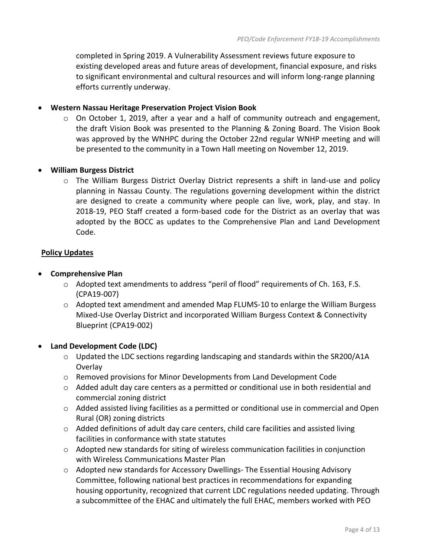completed in Spring 2019. A Vulnerability Assessment reviews future exposure to existing developed areas and future areas of development, financial exposure, and risks to significant environmental and cultural resources and will inform long-range planning efforts currently underway.

## • **Western Nassau Heritage Preservation Project Vision Book**

 $\circ$  On October 1, 2019, after a year and a half of community outreach and engagement, the draft Vision Book was presented to the Planning & Zoning Board. The Vision Book was approved by the WNHPC during the October 22nd regular WNHP meeting and will be presented to the community in a Town Hall meeting on November 12, 2019.

# • **William Burgess District**

o The William Burgess District Overlay District represents a shift in land-use and policy planning in Nassau County. The regulations governing development within the district are designed to create a community where people can live, work, play, and stay. In 2018-19, PEO Staff created a form-based code for the District as an overlay that was adopted by the BOCC as updates to the Comprehensive Plan and Land Development Code.

# **Policy Updates**

# • **Comprehensive Plan**

- $\circ$  Adopted text amendments to address "peril of flood" requirements of Ch. 163, F.S. (CPA19-007)
- o Adopted text amendment and amended Map FLUMS-10 to enlarge the William Burgess Mixed-Use Overlay District and incorporated William Burgess Context & Connectivity Blueprint (CPA19-002)

## • **Land Development Code (LDC)**

- $\circ$  Updated the LDC sections regarding landscaping and standards within the SR200/A1A Overlay
- o Removed provisions for Minor Developments from Land Development Code
- $\circ$  Added adult day care centers as a permitted or conditional use in both residential and commercial zoning district
- $\circ$  Added assisted living facilities as a permitted or conditional use in commercial and Open Rural (OR) zoning districts
- o Added definitions of adult day care centers, child care facilities and assisted living facilities in conformance with state statutes
- o Adopted new standards for siting of wireless communication facilities in conjunction with Wireless Communications Master Plan
- o Adopted new standards for Accessory Dwellings- The Essential Housing Advisory Committee, following national best practices in recommendations for expanding housing opportunity, recognized that current LDC regulations needed updating. Through a subcommittee of the EHAC and ultimately the full EHAC, members worked with PEO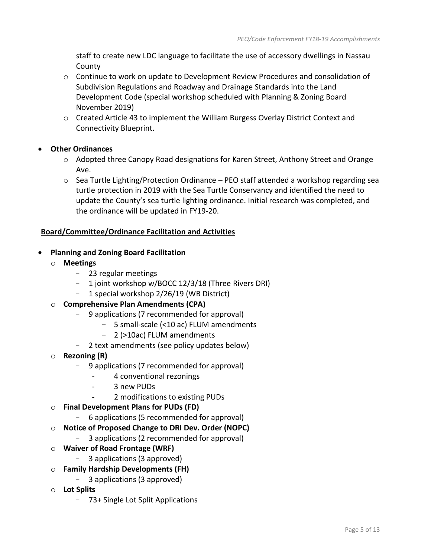staff to create new LDC language to facilitate the use of accessory dwellings in Nassau County

- $\circ$  Continue to work on update to Development Review Procedures and consolidation of Subdivision Regulations and Roadway and Drainage Standards into the Land Development Code (special workshop scheduled with Planning & Zoning Board November 2019)
- $\circ$  Created Article 43 to implement the William Burgess Overlay District Context and Connectivity Blueprint.
- **Other Ordinances**
	- $\circ$  Adopted three Canopy Road designations for Karen Street, Anthony Street and Orange Ave.
	- $\circ$  Sea Turtle Lighting/Protection Ordinance PEO staff attended a workshop regarding sea turtle protection in 2019 with the Sea Turtle Conservancy and identified the need to update the County's sea turtle lighting ordinance. Initial research was completed, and the ordinance will be updated in FY19-20.

# **Board/Committee/Ordinance Facilitation and Activities**

- **Planning and Zoning Board Facilitation**
	- o **Meetings**
		- 23 regular meetings
		- 1 joint workshop w/BOCC 12/3/18 (Three Rivers DRI)
		- 1 special workshop 2/26/19 (WB District)
	- o **Comprehensive Plan Amendments (CPA)**
		- 9 applications (7 recommended for approval)
			- 5 small-scale (<10 ac) FLUM amendments
			- 2 (>10ac) FLUM amendments
		- 2 text amendments (see policy updates below)
	- o **Rezoning (R)**
		- 9 applications (7 recommended for approval)
			- 4 conventional rezonings
			- 3 new PUDs
			- 2 modifications to existing PUDs
	- o **Final Development Plans for PUDs (FD)**
		- 6 applications (5 recommended for approval)
	- o **Notice of Proposed Change to DRI Dev. Order (NOPC)**
		- 3 applications (2 recommended for approval)
	- o **Waiver of Road Frontage (WRF)**
		- 3 applications (3 approved)
	- o **Family Hardship Developments (FH)**
		- 3 applications (3 approved)
	- o **Lot Splits**
		- 73+ Single Lot Split Applications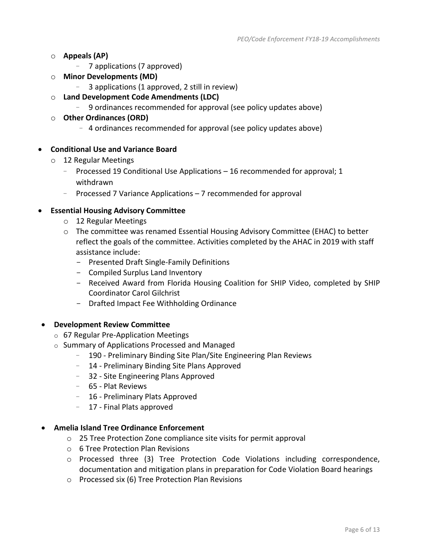# o **Appeals (AP)**

- 7 applications (7 approved)
- o **Minor Developments (MD)**
	- 3 applications (1 approved, 2 still in review)
- o **Land Development Code Amendments (LDC)**
	- 9 ordinances recommended for approval (see policy updates above)
- o **Other Ordinances (ORD)**
	- 4 ordinances recommended for approval (see policy updates above)

# • **Conditional Use and Variance Board**

- o 12 Regular Meetings
	- Processed 19 Conditional Use Applications 16 recommended for approval; 1 withdrawn
	- Processed 7 Variance Applications 7 recommended for approval

## • **Essential Housing Advisory Committee**

- o 12 Regular Meetings
- $\circ$  The committee was renamed Essential Housing Advisory Committee (EHAC) to better reflect the goals of the committee. Activities completed by the AHAC in 2019 with staff assistance include:
	- Presented Draft Single-Family Definitions
	- Compiled Surplus Land Inventory
	- Received Award from Florida Housing Coalition for SHIP Video, completed by SHIP Coordinator Carol Gilchrist
	- Drafted Impact Fee Withholding Ordinance

#### • **Development Review Committee**

- o 67 Regular Pre-Application Meetings
- o Summary of Applications Processed and Managed
	- 190 Preliminary Binding Site Plan/Site Engineering Plan Reviews
	- 14 Preliminary Binding Site Plans Approved
	- 32 Site Engineering Plans Approved
	- 65 Plat Reviews
	- 16 Preliminary Plats Approved
	- 17 Final Plats approved

#### • **Amelia Island Tree Ordinance Enforcement**

- o 25 Tree Protection Zone compliance site visits for permit approval
- o 6 Tree Protection Plan Revisions
- o Processed three (3) Tree Protection Code Violations including correspondence, documentation and mitigation plans in preparation for Code Violation Board hearings
- o Processed six (6) Tree Protection Plan Revisions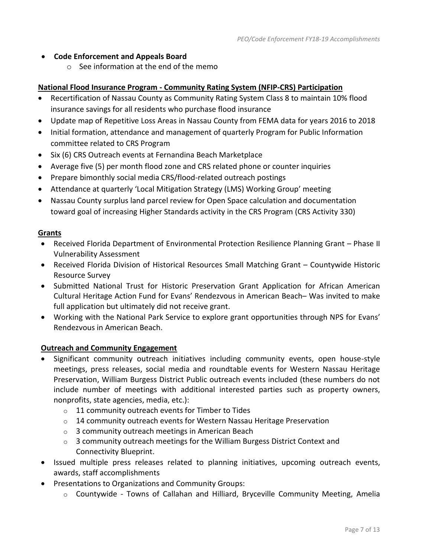- **Code Enforcement and Appeals Board** 
	- o See information at the end of the memo

## **National Flood Insurance Program - Community Rating System (NFIP-CRS) Participation**

- Recertification of Nassau County as Community Rating System Class 8 to maintain 10% flood insurance savings for all residents who purchase flood insurance
- Update map of Repetitive Loss Areas in Nassau County from FEMA data for years 2016 to 2018
- Initial formation, attendance and management of quarterly Program for Public Information committee related to CRS Program
- Six (6) CRS Outreach events at Fernandina Beach Marketplace
- Average five (5) per month flood zone and CRS related phone or counter inquiries
- Prepare bimonthly social media CRS/flood-related outreach postings
- Attendance at quarterly 'Local Mitigation Strategy (LMS) Working Group' meeting
- Nassau County surplus land parcel review for Open Space calculation and documentation toward goal of increasing Higher Standards activity in the CRS Program (CRS Activity 330)

#### **Grants**

- Received Florida Department of Environmental Protection Resilience Planning Grant Phase II Vulnerability Assessment
- Received Florida Division of Historical Resources Small Matching Grant Countywide Historic Resource Survey
- Submitted National Trust for Historic Preservation Grant Application for African American Cultural Heritage Action Fund for Evans' Rendezvous in American Beach– Was invited to make full application but ultimately did not receive grant.
- Working with the National Park Service to explore grant opportunities through NPS for Evans' Rendezvous in American Beach.

#### **Outreach and Community Engagement**

- Significant community outreach initiatives including community events, open house-style meetings, press releases, social media and roundtable events for Western Nassau Heritage Preservation, William Burgess District Public outreach events included (these numbers do not include number of meetings with additional interested parties such as property owners, nonprofits, state agencies, media, etc.):
	- o 11 community outreach events for Timber to Tides
	- $\circ$  14 community outreach events for Western Nassau Heritage Preservation
	- o 3 community outreach meetings in American Beach
	- $\circ$  3 community outreach meetings for the William Burgess District Context and Connectivity Blueprint.
- Issued multiple press releases related to planning initiatives, upcoming outreach events, awards, staff accomplishments
- Presentations to Organizations and Community Groups:
	- o Countywide Towns of Callahan and Hilliard, Bryceville Community Meeting, Amelia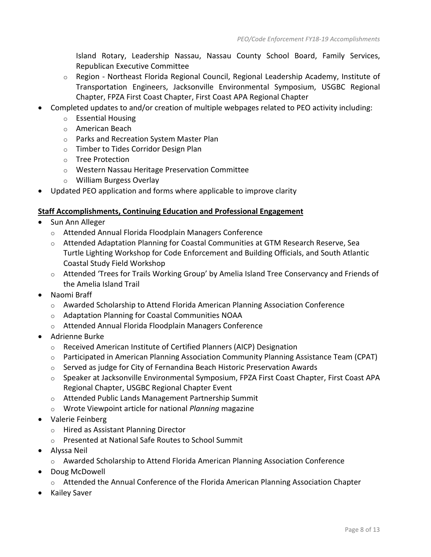Island Rotary, Leadership Nassau, Nassau County School Board, Family Services, Republican Executive Committee

- $\circ$  Region Northeast Florida Regional Council, Regional Leadership Academy, Institute of Transportation Engineers, Jacksonville Environmental Symposium, USGBC Regional Chapter, FPZA First Coast Chapter, First Coast APA Regional Chapter
- Completed updates to and/or creation of multiple webpages related to PEO activity including:
	- o Essential Housing
	- o American Beach
	- o Parks and Recreation System Master Plan
	- o Timber to Tides Corridor Design Plan
	- o Tree Protection
	- o Western Nassau Heritage Preservation Committee
	- o William Burgess Overlay
- Updated PEO application and forms where applicable to improve clarity

# **Staff Accomplishments, Continuing Education and Professional Engagement**

- Sun Ann Alleger
	- o Attended Annual Florida Floodplain Managers Conference
	- $\circ$  Attended Adaptation Planning for Coastal Communities at GTM Research Reserve, Sea Turtle Lighting Workshop for Code Enforcement and Building Officials, and South Atlantic Coastal Study Field Workshop
	- o Attended 'Trees for Trails Working Group' by Amelia Island Tree Conservancy and Friends of the Amelia Island Trail
- Naomi Braff
	- $\circ$  Awarded Scholarship to Attend Florida American Planning Association Conference
	- o Adaptation Planning for Coastal Communities NOAA
	- o Attended Annual Florida Floodplain Managers Conference
- Adrienne Burke
	- o Received American Institute of Certified Planners (AICP) Designation
	- $\circ$  Participated in American Planning Association Community Planning Assistance Team (CPAT)
	- $\circ$  Served as judge for City of Fernandina Beach Historic Preservation Awards
	- o Speaker at Jacksonville Environmental Symposium, FPZA First Coast Chapter, First Coast APA Regional Chapter, USGBC Regional Chapter Event
	- o Attended Public Lands Management Partnership Summit
	- o Wrote Viewpoint article for national *Planning* magazine
- Valerie Feinberg
	- o Hired as Assistant Planning Director
	- o Presented at National Safe Routes to School Summit
- Alyssa Neil
	- $\circ$  Awarded Scholarship to Attend Florida American Planning Association Conference
- Doug McDowell
	- o Attended the Annual Conference of the Florida American Planning Association Chapter
- Kailey Saver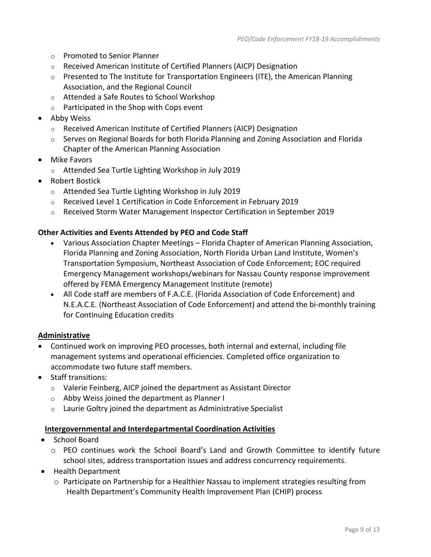- o Promoted to Senior Planner
- o Received American Institute of Certified Planners (AICP) Designation
- $\circ$  Presented to The Institute for Transportation Engineers (ITE), the American Planning Association, and the Regional Council
- o Attended a Safe Routes to School Workshop
- o Participated in the Shop with Cops event
- Abby Weiss
	- o Received American Institute of Certified Planners (AICP) Designation
	- o Serves on Regional Boards for both Florida Planning and Zoning Association and Florida Chapter of the American Planning Association
- Mike Favors
	- o Attended Sea Turtle Lighting Workshop in July 2019
- Robert Bostick
	- o Attended Sea Turtle Lighting Workshop in July 2019
	- o Received Level 1 Certification in Code Enforcement in February 2019
	- o Received Storm Water Management Inspector Certification in September 2019

## **Other Activities and Events Attended by PEO and Code Staff**

- Various Association Chapter Meetings Florida Chapter of American Planning Association, Florida Planning and Zoning Association, North Florida Urban Land Institute, Women's Transportation Symposium, Northeast Association of Code Enforcement; EOC required Emergency Management workshops/webinars for Nassau County response improvement offered by FEMA Emergency Management Institute (remote)
- All Code staff are members of F.A.C.E. (Florida Association of Code Enforcement) and N.E.A.C.E. (Northeast Association of Code Enforcement) and attend the bi-monthly training for Continuing Education credits

## **Administrative**

- Continued work on improving PEO processes, both internal and external, including file management systems and operational efficiencies. Completed office organization to accommodate two future staff members.
- Staff transitions:
	- o Valerie Feinberg, AICP joined the department as Assistant Director
	- o Abby Weiss joined the department as Planner I
	- $\circ$  Laurie Goltry joined the department as Administrative Specialist

#### **Intergovernmental and Interdepartmental Coordination Activities**

- School Board
	- o PEO continues work the School Board's Land and Growth Committee to identify future school sites, address transportation issues and address concurrency requirements.
- Health Department
	- o Participate on Partnership for a Healthier Nassau to implement strategies resulting from Health Department's Community Health Improvement Plan (CHIP) process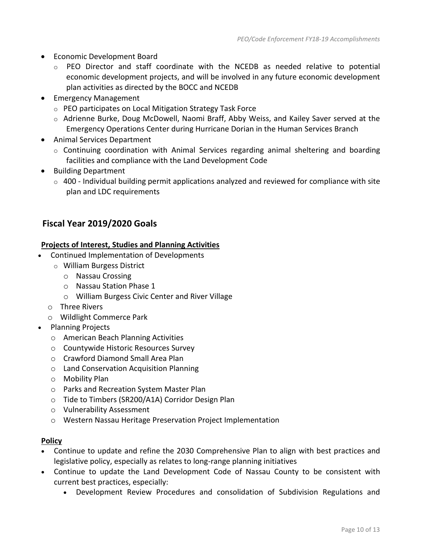- Economic Development Board
	- $\circ$  PEO Director and staff coordinate with the NCEDB as needed relative to potential economic development projects, and will be involved in any future economic development plan activities as directed by the BOCC and NCEDB
- Emergency Management
	- o PEO participates on Local Mitigation Strategy Task Force
	- o Adrienne Burke, Doug McDowell, Naomi Braff, Abby Weiss, and Kailey Saver served at the Emergency Operations Center during Hurricane Dorian in the Human Services Branch
- Animal Services Department
	- o Continuing coordination with Animal Services regarding animal sheltering and boarding facilities and compliance with the Land Development Code
- Building Department
	- $\circ$  400 Individual building permit applications analyzed and reviewed for compliance with site plan and LDC requirements

# **Fiscal Year 2019/2020 Goals**

# **Projects of Interest, Studies and Planning Activities**

- Continued Implementation of Developments
	- o William Burgess District
		- o Nassau Crossing
		- o Nassau Station Phase 1
		- o William Burgess Civic Center and River Village
	- o Three Rivers
	- o Wildlight Commerce Park
- Planning Projects
	- o American Beach Planning Activities
	- o Countywide Historic Resources Survey
	- o Crawford Diamond Small Area Plan
	- o Land Conservation Acquisition Planning
	- o Mobility Plan
	- o Parks and Recreation System Master Plan
	- o Tide to Timbers (SR200/A1A) Corridor Design Plan
	- o Vulnerability Assessment
	- o Western Nassau Heritage Preservation Project Implementation

## **Policy**

- Continue to update and refine the 2030 Comprehensive Plan to align with best practices and legislative policy, especially as relates to long-range planning initiatives
- Continue to update the Land Development Code of Nassau County to be consistent with current best practices, especially:
	- Development Review Procedures and consolidation of Subdivision Regulations and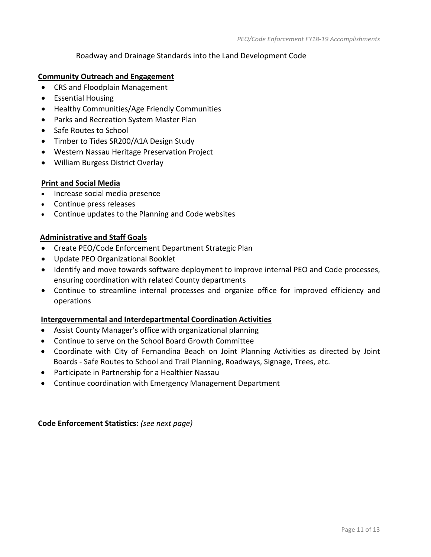# Roadway and Drainage Standards into the Land Development Code

#### **Community Outreach and Engagement**

- CRS and Floodplain Management
- Essential Housing
- Healthy Communities/Age Friendly Communities
- Parks and Recreation System Master Plan
- Safe Routes to School
- Timber to Tides SR200/A1A Design Study
- Western Nassau Heritage Preservation Project
- William Burgess District Overlay

# **Print and Social Media**

- Increase social media presence
- Continue press releases
- Continue updates to the Planning and Code websites

# **Administrative and Staff Goals**

- Create PEO/Code Enforcement Department Strategic Plan
- Update PEO Organizational Booklet
- Identify and move towards software deployment to improve internal PEO and Code processes, ensuring coordination with related County departments
- Continue to streamline internal processes and organize office for improved efficiency and operations

#### **Intergovernmental and Interdepartmental Coordination Activities**

- Assist County Manager's office with organizational planning
- Continue to serve on the School Board Growth Committee
- Coordinate with City of Fernandina Beach on Joint Planning Activities as directed by Joint Boards - Safe Routes to School and Trail Planning, Roadways, Signage, Trees, etc.
- Participate in Partnership for a Healthier Nassau
- Continue coordination with Emergency Management Department

**Code Enforcement Statistics:** *(see next page)*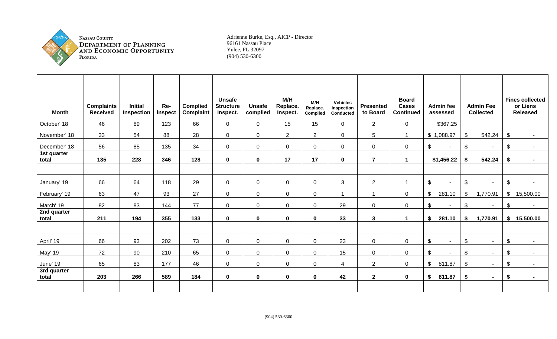

**NASSAU COUNTY** DEPARTMENT OF PLANNING<br>AND ECONOMIC OPPORTUNITY<br>FLORIDA

Adrienne Burke, Esq., AICP - Director 96161 Nassau Place Yulee, FL 32097 (904) 530-6300

| <b>Month</b>         | <b>Complaints</b><br><b>Received</b> | <b>Initial</b><br>Inspection | Re-<br>inspect | <b>Complied</b><br>Complaint | <b>Unsafe</b><br><b>Structure</b><br>Inspect. | <b>Unsafe</b><br>complied | M/H<br>Replace.<br>Inspect. | M/H<br>Replace.<br>Complied | <b>Vehicles</b><br>Inspection<br>Conducted | <b>Presented</b><br>to Board | <b>Board</b><br><b>Cases</b><br><b>Continued</b> | <b>Admin fee</b><br>assessed        |                | <b>Admin Fee</b><br><b>Collected</b> |                         | <b>Fines collected</b><br>or Liens<br><b>Released</b> |
|----------------------|--------------------------------------|------------------------------|----------------|------------------------------|-----------------------------------------------|---------------------------|-----------------------------|-----------------------------|--------------------------------------------|------------------------------|--------------------------------------------------|-------------------------------------|----------------|--------------------------------------|-------------------------|-------------------------------------------------------|
| October' 18          | 46                                   | 89                           | 123            | 66                           | 0                                             | $\overline{0}$            | 15                          | 15                          | $\overline{0}$                             | $\overline{2}$               | $\mathbf 0$                                      | \$367.25                            |                |                                      |                         |                                                       |
| November' 18         | 33                                   | 54                           | 88             | 28                           | $\overline{0}$                                | $\mathbf 0$               | 2 <sup>1</sup>              | $\overline{2}$              | $\overline{0}$                             | 5                            | $\mathbf{1}$                                     | \$1,088.97                          | $\mathfrak{L}$ | 542.24                               | \$                      |                                                       |
| December' 18         | 56                                   | 85                           | 135            | 34                           | 0                                             | $\mathbf 0$               | $\mathbf 0$                 | $\mathbf 0$                 | $\overline{0}$                             | $\mathbf 0$                  | $\mathbf 0$                                      | \$<br>$\sim$                        | $\$\$          | $\sim$                               | \$                      |                                                       |
| 1st quarter<br>total | 135                                  | 228                          | 346            | 128                          | $\mathbf 0$                                   | $\mathbf 0$               | 17                          | 17                          | $\mathbf 0$                                | $\overline{7}$               | $\blacktriangleleft$                             | \$1,456.22                          | \$             | 542.24                               | \$                      |                                                       |
|                      |                                      |                              |                |                              |                                               |                           |                             |                             |                                            |                              |                                                  |                                     |                |                                      |                         |                                                       |
| January' 19          | 66                                   | 64                           | 118            | 29                           | 0                                             | $\mathsf 0$               | $\mathbf 0$                 | $\mathbf 0$                 | 3                                          | 2                            | $\overline{1}$                                   | $\boldsymbol{\mathsf{S}}$<br>$\sim$ | \$             | $\sim$                               | \$                      |                                                       |
| February' 19         | 63                                   | 47                           | 93             | 27                           | 0                                             | $\mathsf 0$               | $\overline{0}$              | $\overline{0}$              | $\overline{1}$                             | $\overline{ }$               | $\mathbf 0$                                      | \$<br>281.10                        | \$             | 1,770.91                             | $\$\$                   | 15,500.00                                             |
| March' 19            | 82                                   | 83                           | 144            | 77                           | $\overline{0}$                                | $\mathbf 0$               | $\mathbf 0$                 | $\overline{0}$              | 29                                         | $\mathbf 0$                  | $\mathbf 0$                                      | \$<br>$\sim$                        | \$             | $\sim$                               | \$                      |                                                       |
| 2nd quarter<br>total | 211                                  | 194                          | 355            | 133                          | $\mathbf 0$                                   | $\mathbf 0$               | $\mathbf 0$                 | $\mathbf 0$                 | 33                                         | $\mathbf{3}$                 | $\blacktriangleleft$                             | \$<br>281.10                        | \$             | 1,770.91                             |                         | \$15,500.00                                           |
|                      |                                      |                              |                |                              |                                               |                           |                             |                             |                                            |                              |                                                  |                                     |                |                                      |                         |                                                       |
| April' 19            | 66                                   | 93                           | 202            | 73                           | 0                                             | $\mathbf 0$               | $\overline{0}$              | $\overline{0}$              | 23                                         | $\mathbf 0$                  | $\mathbf 0$                                      | $\mathfrak{P}$<br>$\sim$            | $\mathbb{S}$   | $\sim$                               | $\sqrt[6]{\frac{1}{2}}$ |                                                       |
| May' 19              | 72                                   | 90                           | 210            | 65                           | 0                                             | $\mathsf 0$               | $\mathbf 0$                 | $\mathbf 0$                 | 15                                         | $\mathbf 0$                  | $\mathbf 0$                                      | $\boldsymbol{\mathsf{S}}$<br>$\sim$ | \$             | $\sim$                               | \$                      |                                                       |
| June' 19             | 65                                   | 83                           | 177            | 46                           | 0                                             | $\mathsf 0$               | $\overline{0}$              | 0                           | 4                                          | 2                            | $\mathbf 0$                                      | 811.87<br>\$                        | $\$\$          | $\sim$                               | \$                      |                                                       |
| 3rd quarter<br>total | 203                                  | 266                          | 589            | 184                          | $\mathbf 0$                                   | $\mathbf 0$               | $\mathbf 0$                 | $\mathbf 0$                 | 42                                         | $\overline{2}$               | $\mathbf 0$                                      | \$<br>811.87                        | \$             | $\blacksquare$                       | \$                      |                                                       |
|                      |                                      |                              |                |                              |                                               |                           |                             |                             |                                            |                              |                                                  |                                     |                |                                      |                         |                                                       |